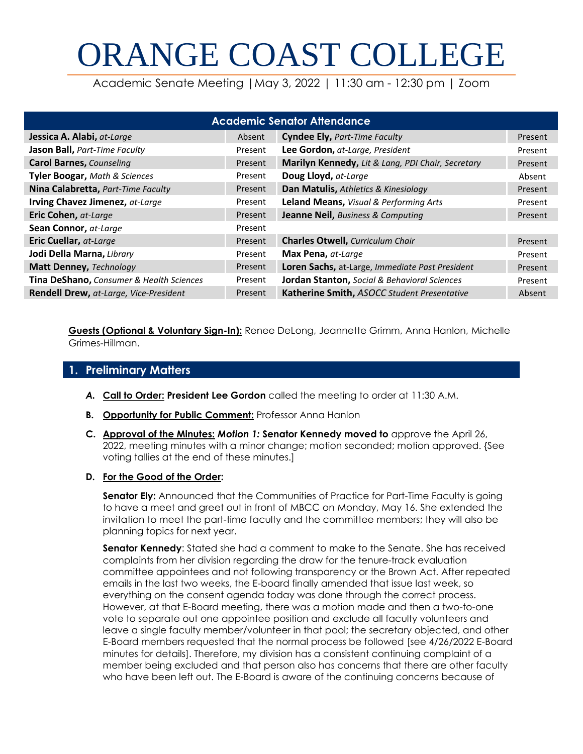# ORANGE COAST COLLEGE

Academic Senate Meeting |May 3, 2022 | 11:30 am - 12:30 pm | Zoom

| <b>Academic Senator Attendance</b>            |         |                                                   |         |
|-----------------------------------------------|---------|---------------------------------------------------|---------|
| Jessica A. Alabi, at-Large                    | Absent  | <b>Cyndee Ely, Part-Time Faculty</b>              | Present |
| Jason Ball, Part-Time Faculty                 | Present | Lee Gordon, at-Large, President                   | Present |
| <b>Carol Barnes, Counseling</b>               | Present | Marilyn Kennedy, Lit & Lang, PDI Chair, Secretary | Present |
| <b>Tyler Boogar, Math &amp; Sciences</b>      | Present | Doug Lloyd, at-Large                              | Absent  |
| Nina Calabretta, Part-Time Faculty            | Present | Dan Matulis, Athletics & Kinesiology              | Present |
| Irving Chavez Jimenez, at-Large               | Present | Leland Means, Visual & Performing Arts            | Present |
| Eric Cohen, at-Large                          | Present | <b>Jeanne Neil, Business &amp; Computing</b>      | Present |
| Sean Connor, at-Large                         | Present |                                                   |         |
| Eric Cuellar, at-Large                        | Present | <b>Charles Otwell, Curriculum Chair</b>           | Present |
| Jodi Della Marna, Library                     | Present | Max Pena, at-Large                                | Present |
| <b>Matt Denney, Technology</b>                | Present | Loren Sachs, at-Large, Immediate Past President   | Present |
| Tina DeShano, Consumer & Health Sciences      | Present | Jordan Stanton, Social & Behavioral Sciences      | Present |
| <b>Rendell Drew, at-Large, Vice-President</b> | Present | Katherine Smith, ASOCC Student Presentative       | Absent  |

**Guests (Optional & Voluntary Sign-In):** Renee DeLong, Jeannette Grimm, Anna Hanlon, Michelle Grimes-Hillman.

# **1. Preliminary Matters**

- *A.* **Call to Order: President Lee Gordon** called the meeting to order at 11:30 A.M.
- **B. Opportunity for Public Comment:** Professor Anna Hanlon
- **C. Approval of the Minutes:** *Motion 1:* **Senator Kennedy moved to** approve the April 26, 2022, meeting minutes with a minor change; motion seconded; motion approved. {See voting tallies at the end of these minutes.]
- **D. For the Good of the Order:**

**Senator Ely:** Announced that the Communities of Practice for Part-Time Faculty is going to have a meet and greet out in front of MBCC on Monday, May 16. She extended the invitation to meet the part-time faculty and the committee members; they will also be planning topics for next year.

**Senator Kennedy**: Stated she had a comment to make to the Senate. She has received complaints from her division regarding the draw for the tenure-track evaluation committee appointees and not following transparency or the Brown Act. After repeated emails in the last two weeks, the E-board finally amended that issue last week, so everything on the consent agenda today was done through the correct process. However, at that E-Board meeting, there was a motion made and then a two-to-one vote to separate out one appointee position and exclude all faculty volunteers and leave a single faculty member/volunteer in that pool; the secretary objected, and other E-Board members requested that the normal process be followed [see 4/26/2022 E-Board minutes for details]. Therefore, my division has a consistent continuing complaint of a member being excluded and that person also has concerns that there are other faculty who have been left out. The E-Board is aware of the continuing concerns because of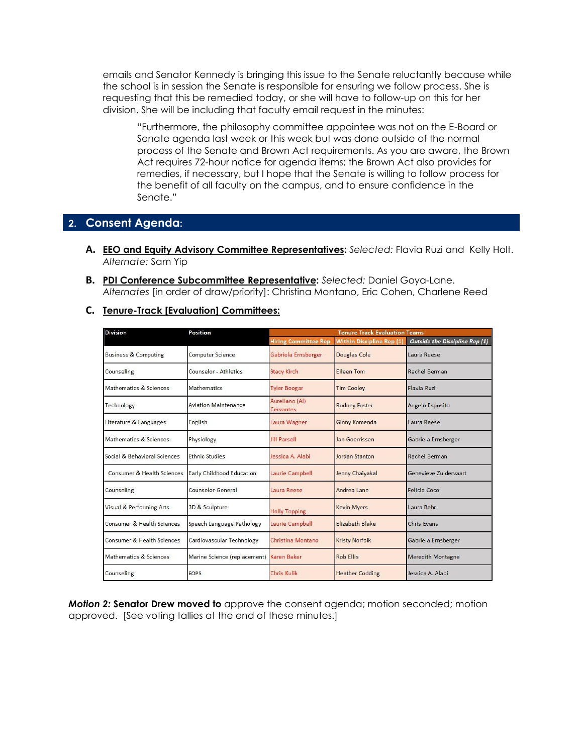emails and Senator Kennedy is bringing this issue to the Senate reluctantly because while the school is in session the Senate is responsible for ensuring we follow process. She is requesting that this be remedied today, or she will have to follow-up on this for her division. She will be including that faculty email request in the minutes:

"Furthermore, the philosophy committee appointee was not on the E-Board or Senate agenda last week or this week but was done outside of the normal process of the Senate and Brown Act requirements. As you are aware, the Brown Act requires 72-hour notice for agenda items; the Brown Act also provides for remedies, if necessary, but I hope that the Senate is willing to follow process for the benefit of all faculty on the campus, and to ensure confidence in the Senate."

# **2. Consent Agenda:**

- **A. EEO and Equity Advisory Committee Representatives:** *Selected:* Flavia Ruzi and Kelly Holt. *Alternate:* Sam Yip
- **B. PDI Conference Subcommittee Representative:** *Selected:* Daniel Goya-Lane. *Alternates* [in order of draw/priority]: Christina Montano, Eric Cohen, Charlene Reed

#### **C. Tenure-Track [Evaluation] Committees:**

| <b>Division</b>                 | Position                     | <b>Tenure Track Evaluation Teams</b> |                                  |                                |
|---------------------------------|------------------------------|--------------------------------------|----------------------------------|--------------------------------|
|                                 |                              | <b>Hiring Committee Rep</b>          | <b>Within Discipline Rep (1)</b> | Outside the Discipline Rep (1) |
| <b>Business &amp; Computing</b> | <b>Computer Science</b>      | Gabriela Ernsberger                  | <b>Douglas Cole</b>              | Laura Reese                    |
| Counseling                      | Counselor - Athletics        | <b>Stacy Kirch</b>                   | <b>Eileen Tom</b>                | Rachel Berman                  |
| Mathematics & Sciences          | <b>Mathematics</b>           | <b>Tyler Boogar</b>                  | <b>Tim Cooley</b>                | Flavia Ruzi                    |
| Technology                      | <b>Aviation Maintenance</b>  | Aureliano (Al)<br>Cervantes          | <b>Rodney Foster</b>             | Angelo Esposito                |
| Literature & Languages          | English                      | Laura Wagner                         | <b>Ginny Komenda</b>             | Laura Reese                    |
| Mathematics & Sciences          | Physiology                   | <b>Jill Parsell</b>                  | Jan Goerrissen                   | Gabriela Ernsberger            |
| Social & Behavioral Sciences    | <b>Ethnic Studies</b>        | Jessica A. Alabi                     | Jordan Stanton                   | Rachel Berman                  |
| Consumer & Health Sciences      | Early Childhood Education    | <b>Laurie Campbell</b>               | Jenny Chaiyakal                  | Genevieve Zuidervaart          |
| Counseling                      | Counselor-General            | Laura Reese                          | Andrea Lane                      | Felicia Coco                   |
| Visual & Performing Arts        | 3D & Sculpture               | <b>Holly Topping</b>                 | <b>Kevin Myers</b>               | Laura Behr                     |
| Consumer & Health Sciences      | Speech Language Pathology    | Laurie Campbell                      | <b>Elizabeth Blake</b>           | Chris Evans                    |
| Consumer & Health Sciences      | Cardiovascular Technology    | Christina Montano                    | <b>Kristy Norfolk</b>            | Gabriela Ernsberger            |
| Mathematics & Sciences          | Marine Science (replacement) | <b>Karen Baker</b>                   | Rob Filis                        | <b>Meredith Montagne</b>       |
| Counseling                      | <b>FOPS</b>                  | Chris Kulik                          | <b>Heather Codding</b>           | Jessica A. Alabi               |

*Motion 2:* **Senator Drew moved to** approve the consent agenda; motion seconded; motion approved. [See voting tallies at the end of these minutes.]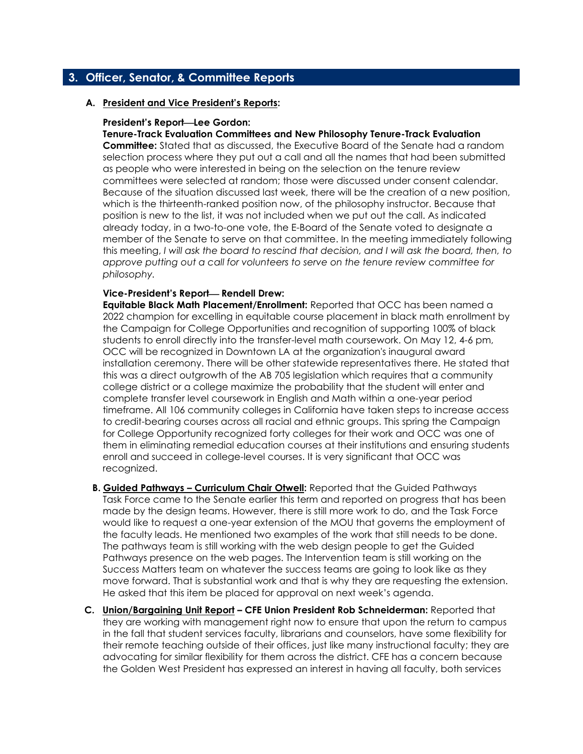## **3. Officer, Senator, & Committee Reports**

#### **A. President and Vice President's Reports:**

#### **President's Report—Lee Gordon:**

**Tenure-Track Evaluation Committees and New Philosophy Tenure-Track Evaluation Committee:** Stated that as discussed, the Executive Board of the Senate had a random selection process where they put out a call and all the names that had been submitted as people who were interested in being on the selection on the tenure review committees were selected at random; those were discussed under consent calendar. Because of the situation discussed last week, there will be the creation of a new position, which is the thirteenth-ranked position now, of the philosophy instructor. Because that position is new to the list, it was not included when we put out the call. As indicated already today, in a two-to-one vote, the E-Board of the Senate voted to designate a member of the Senate to serve on that committee. In the meeting immediately following this meeting, *I will ask the board to rescind that decision, and I will ask the board, then, to approve putting out a call for volunteers to serve on the tenure review committee for philosophy.*

#### **Vice-President's Report— Rendell Drew:**

**Equitable Black Math Placement/Enrollment:** Reported that OCC has been named a 2022 champion for excelling in equitable course placement in black math enrollment by the Campaign for College Opportunities and recognition of supporting 100% of black students to enroll directly into the transfer-level math coursework. On May 12, 4-6 pm, OCC will be recognized in Downtown LA at the organization's inaugural award installation ceremony. There will be other statewide representatives there. He stated that this was a direct outgrowth of the AB 705 legislation which requires that a community college district or a college maximize the probability that the student will enter and complete transfer level coursework in English and Math within a one-year period timeframe. All 106 community colleges in California have taken steps to increase access to credit-bearing courses across all racial and ethnic groups. This spring the Campaign for College Opportunity recognized forty colleges for their work and OCC was one of them in eliminating remedial education courses at their institutions and ensuring students enroll and succeed in college-level courses. It is very significant that OCC was recognized.

- **B. Guided Pathways – Curriculum Chair Otwell:** Reported that the Guided Pathways Task Force came to the Senate earlier this term and reported on progress that has been made by the design teams. However, there is still more work to do, and the Task Force would like to request a one-year extension of the MOU that governs the employment of the faculty leads. He mentioned two examples of the work that still needs to be done. The pathways team is still working with the web design people to get the Guided Pathways presence on the web pages. The Intervention team is still working on the Success Matters team on whatever the success teams are going to look like as they move forward. That is substantial work and that is why they are requesting the extension. He asked that this item be placed for approval on next week's agenda.
- **C. Union/Bargaining Unit Report – CFE Union President Rob Schneiderman:** Reported that they are working with management right now to ensure that upon the return to campus in the fall that student services faculty, librarians and counselors, have some flexibility for their remote teaching outside of their offices, just like many instructional faculty; they are advocating for similar flexibility for them across the district. CFE has a concern because the Golden West President has expressed an interest in having all faculty, both services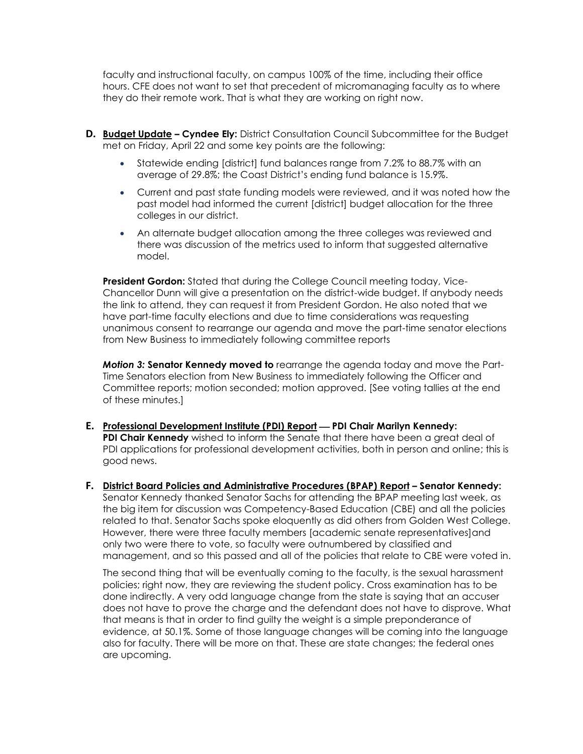faculty and instructional faculty, on campus 100% of the time, including their office hours. CFE does not want to set that precedent of micromanaging faculty as to where they do their remote work. That is what they are working on right now.

- **D. Budget Update – Cyndee Ely:** District Consultation Council Subcommittee for the Budget met on Friday, April 22 and some key points are the following:
	- Statewide ending [district] fund balances range from 7.2% to 88.7% with an average of 29.8%; the Coast District's ending fund balance is 15.9%.
	- Current and past state funding models were reviewed, and it was noted how the past model had informed the current [district] budget allocation for the three colleges in our district.
	- An alternate budget allocation among the three colleges was reviewed and there was discussion of the metrics used to inform that suggested alternative model.

**President Gordon:** Stated that during the College Council meeting today, Vice-Chancellor Dunn will give a presentation on the district-wide budget. If anybody needs the link to attend, they can request it from President Gordon. He also noted that we have part-time faculty elections and due to time considerations was requesting unanimous consent to rearrange our agenda and move the part-time senator elections from New Business to immediately following committee reports

*Motion 3:* **Senator Kennedy moved to** rearrange the agenda today and move the Part-Time Senators election from New Business to immediately following the Officer and Committee reports; motion seconded; motion approved. [See voting tallies at the end of these minutes.]

- **E.** Professional Development Institute (PDI) Report PDI Chair Marilyn Kennedy: **PDI Chair Kennedy** wished to inform the Senate that there have been a great deal of PDI applications for professional development activities, both in person and online; this is good news.
- **F. District Board Policies and Administrative Procedures (BPAP) Report – Senator Kennedy:**  Senator Kennedy thanked Senator Sachs for attending the BPAP meeting last week, as the big item for discussion was Competency-Based Education (CBE) and all the policies related to that. Senator Sachs spoke eloquently as did others from Golden West College. However, there were three faculty members [academic senate representatives]and only two were there to vote, so faculty were outnumbered by classified and management, and so this passed and all of the policies that relate to CBE were voted in.

The second thing that will be eventually coming to the faculty, is the sexual harassment policies; right now, they are reviewing the student policy. Cross examination has to be done indirectly. A very odd language change from the state is saying that an accuser does not have to prove the charge and the defendant does not have to disprove. What that means is that in order to find guilty the weight is a simple preponderance of evidence, at 50.1%. Some of those language changes will be coming into the language also for faculty. There will be more on that. These are state changes; the federal ones are upcoming.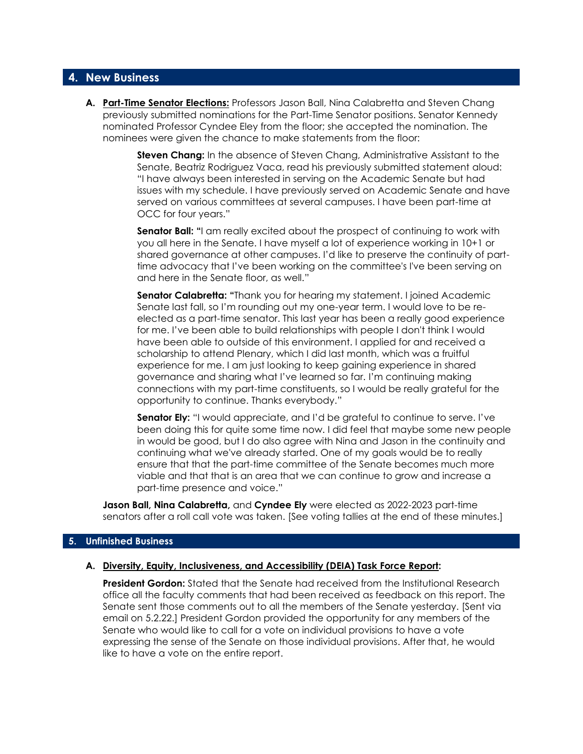#### **4. New Business**

**A. Part-Time Senator Elections:** Professors Jason Ball, Nina Calabretta and Steven Chang previously submitted nominations for the Part-Time Senator positions. Senator Kennedy nominated Professor Cyndee Eley from the floor; she accepted the nomination. The nominees were given the chance to make statements from the floor:

> **Steven Chang:** In the absence of Steven Chang, Administrative Assistant to the Senate, Beatriz Rodriguez Vaca, read his previously submitted statement aloud: "I have always been interested in serving on the Academic Senate but had issues with my schedule. I have previously served on Academic Senate and have served on various committees at several campuses. I have been part-time at OCC for four years."

> **Senator Ball: "**I am really excited about the prospect of continuing to work with you all here in the Senate. I have myself a lot of experience working in 10+1 or shared governance at other campuses. I'd like to preserve the continuity of parttime advocacy that I've been working on the committee's I've been serving on and here in the Senate floor, as well."

**Senator Calabretta: "**Thank you for hearing my statement. I joined Academic Senate last fall, so I'm rounding out my one-year term. I would love to be reelected as a part-time senator. This last year has been a really good experience for me. I've been able to build relationships with people I don't think I would have been able to outside of this environment. I applied for and received a scholarship to attend Plenary, which I did last month, which was a fruitful experience for me. I am just looking to keep gaining experience in shared governance and sharing what I've learned so far. I'm continuing making connections with my part-time constituents, so I would be really grateful for the opportunity to continue. Thanks everybody."

**Senator Ely:** "I would appreciate, and I'd be grateful to continue to serve. I've been doing this for quite some time now. I did feel that maybe some new people in would be good, but I do also agree with Nina and Jason in the continuity and continuing what we've already started. One of my goals would be to really ensure that that the part-time committee of the Senate becomes much more viable and that that is an area that we can continue to grow and increase a part-time presence and voice."

**Jason Ball, Nina Calabretta,** and **Cyndee Ely** were elected as 2022-2023 part-time senators after a roll call vote was taken. [See voting tallies at the end of these minutes.]

#### **5. Unfinished Business**

#### **A. Diversity, Equity, Inclusiveness, and Accessibility (DEIA) Task Force Report:**

**President Gordon:** Stated that the Senate had received from the Institutional Research office all the faculty comments that had been received as feedback on this report. The Senate sent those comments out to all the members of the Senate yesterday. [Sent via email on 5.2.22.] President Gordon provided the opportunity for any members of the Senate who would like to call for a vote on individual provisions to have a vote expressing the sense of the Senate on those individual provisions. After that, he would like to have a vote on the entire report.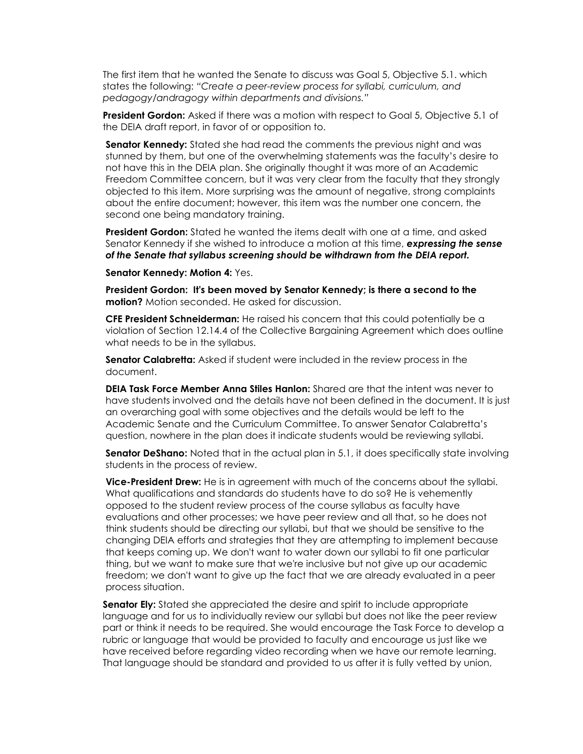The first item that he wanted the Senate to discuss was Goal 5, Objective 5.1. which states the following: *"Create a peer-review process for syllabi, curriculum, and pedagogy/andragogy within departments and divisions."*

**President Gordon:** Asked if there was a motion with respect to Goal 5, Objective 5.1 of the DEIA draft report, in favor of or opposition to.

**Senator Kennedy:** Stated she had read the comments the previous night and was stunned by them, but one of the overwhelming statements was the faculty's desire to not have this in the DEIA plan. She originally thought it was more of an Academic Freedom Committee concern, but it was very clear from the faculty that they strongly objected to this item. More surprising was the amount of negative, strong complaints about the entire document; however, this item was the number one concern, the second one being mandatory training.

**President Gordon:** Stated he wanted the items dealt with one at a time, and asked Senator Kennedy if she wished to introduce a motion at this time, *expressing the sense of the Senate that syllabus screening should be withdrawn from the DEIA report.*

**Senator Kennedy: Motion 4:** Yes.

**President Gordon: It's been moved by Senator Kennedy; is there a second to the motion?** Motion seconded. He asked for discussion.

**CFE President Schneiderman:** He raised his concern that this could potentially be a violation of Section 12.14.4 of the Collective Bargaining Agreement which does outline what needs to be in the syllabus.

**Senator Calabretta:** Asked if student were included in the review process in the document.

**DEIA Task Force Member Anna Stiles Hanlon:** Shared are that the intent was never to have students involved and the details have not been defined in the document. It is just an overarching goal with some objectives and the details would be left to the Academic Senate and the Curriculum Committee. To answer Senator Calabretta's question, nowhere in the plan does it indicate students would be reviewing syllabi.

**Senator DeShano:** Noted that in the actual plan in 5.1, it does specifically state involving students in the process of review.

**Vice-President Drew:** He is in agreement with much of the concerns about the syllabi. What qualifications and standards do students have to do so? He is vehemently opposed to the student review process of the course syllabus as faculty have evaluations and other processes; we have peer review and all that, so he does not think students should be directing our syllabi, but that we should be sensitive to the changing DEIA efforts and strategies that they are attempting to implement because that keeps coming up. We don't want to water down our syllabi to fit one particular thing, but we want to make sure that we're inclusive but not give up our academic freedom; we don't want to give up the fact that we are already evaluated in a peer process situation.

**Senator Ely:** Stated she appreciated the desire and spirit to include appropriate language and for us to individually review our syllabi but does not like the peer review part or think it needs to be required. She would encourage the Task Force to develop a rubric or language that would be provided to faculty and encourage us just like we have received before regarding video recording when we have our remote learning. That language should be standard and provided to us after it is fully vetted by union,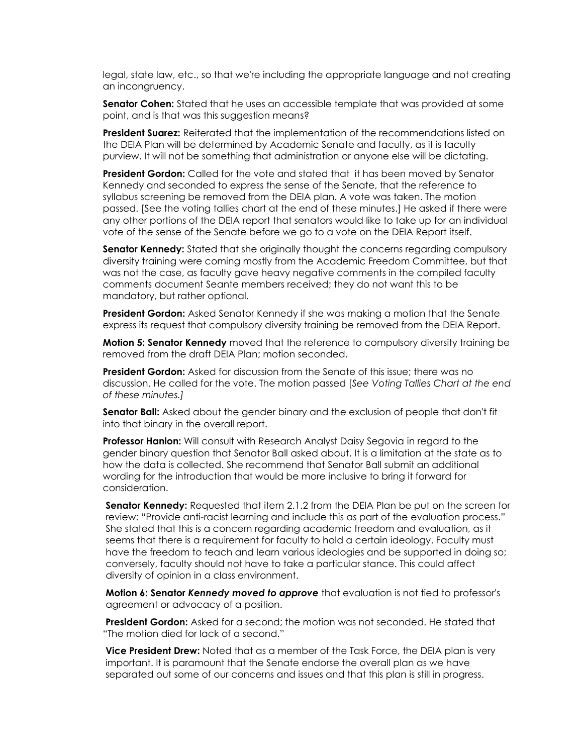legal, state law, etc., so that we're including the appropriate language and not creating an incongruency.

**Senator Cohen:** Stated that he uses an accessible template that was provided at some point, and is that was this suggestion means?

**President Suarez:** Reiterated that the implementation of the recommendations listed on the DEIA Plan will be determined by Academic Senate and faculty, as it is faculty purview. It will not be something that administration or anyone else will be dictating.

**President Gordon:** Called for the vote and stated that it has been moved by Senator Kennedy and seconded to express the sense of the Senate, that the reference to syllabus screening be removed from the DEIA plan. A vote was taken. The motion passed. [See the voting tallies chart at the end of these minutes.] He asked if there were any other portions of the DEIA report that senators would like to take up for an individual vote of the sense of the Senate before we go to a vote on the DEIA Report itself.

**Senator Kennedy:** Stated that she originally thought the concerns regarding compulsory diversity training were coming mostly from the Academic Freedom Committee, but that was not the case, as faculty gave heavy negative comments in the compiled faculty comments document Seante members received; they do not want this to be mandatory, but rather optional.

**President Gordon:** Asked Senator Kennedy if she was making a motion that the Senate express its request that compulsory diversity training be removed from the DEIA Report.

**Motion 5: Senator Kennedy** moved that the reference to compulsory diversity training be removed from the draft DEIA Plan; motion seconded.

**President Gordon:** Asked for discussion from the Senate of this issue; there was no discussion. He called for the vote. The motion passed [*See Voting Tallies Chart at the end of these minutes.]* 

**Senator Ball:** Asked about the gender binary and the exclusion of people that don't fit into that binary in the overall report.

**Professor Hanlon:** Will consult with Research Analyst Daisy Segovia in regard to the gender binary question that Senator Ball asked about. It is a limitation at the state as to how the data is collected. She recommend that Senator Ball submit an additional wording for the introduction that would be more inclusive to bring it forward for consideration.

**Senator Kennedy:** Requested that item 2.1.2 from the DEIA Plan be put on the screen for review: "Provide anti-racist learning and include this as part of the evaluation process." She stated that this is a concern regarding academic freedom and evaluation, as it seems that there is a requirement for faculty to hold a certain ideology. Faculty must have the freedom to teach and learn various ideologies and be supported in doing so; conversely, faculty should not have to take a particular stance. This could affect diversity of opinion in a class environment.

**Motion 6: Senator** *Kennedy moved to approve* that evaluation is not tied to professor's agreement or advocacy of a position.

**President Gordon:** Asked for a second; the motion was not seconded. He stated that "The motion died for lack of a second."

**Vice President Drew:** Noted that as a member of the Task Force, the DEIA plan is very important. It is paramount that the Senate endorse the overall plan as we have separated out some of our concerns and issues and that this plan is still in progress.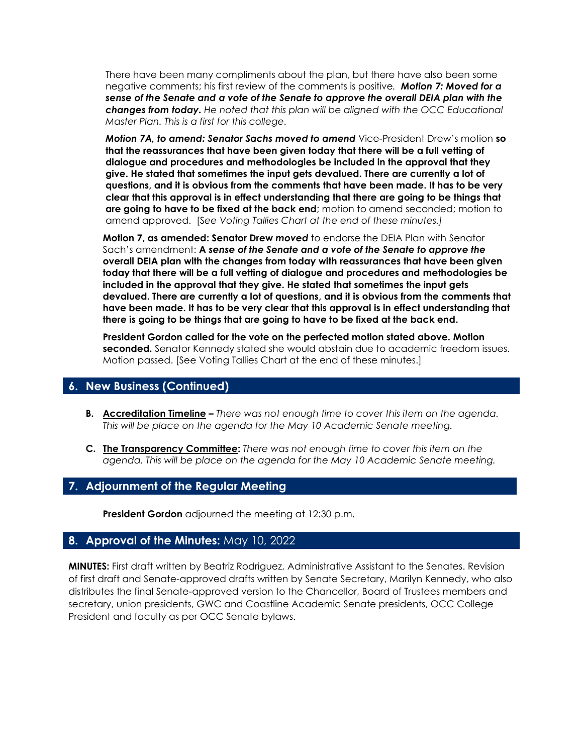There have been many compliments about the plan, but there have also been some negative comments; his first review of the comments is positive*. Motion 7: Moved for a sense of the Senate and a vote of the Senate to approve the overall DEIA plan with the changes from today. He noted that this plan will be aligned with the OCC Educational Master Plan. This is a first for this college.* 

*Motion 7A, to amend: Senator Sachs moved to amend* Vice-President Drew's motion **so that the reassurances that have been given today that there will be a full vetting of dialogue and procedures and methodologies be included in the approval that they give. He stated that sometimes the input gets devalued. There are currently a lot of questions, and it is obvious from the comments that have been made. It has to be very clear that this approval is in effect understanding that there are going to be things that are going to have to be fixed at the back end**; motion to amend seconded; motion to amend approved. [S*ee Voting Tallies Chart at the end of these minutes.]*

**Motion 7, as amended: Senator Drew** *moved* to endorse the DEIA Plan with Senator Sach's amendment: **A** *sense of the Senate and a vote of the Senate to approve the*  **overall DEIA plan with the changes from today with reassurances that have been given today that there will be a full vetting of dialogue and procedures and methodologies be included in the approval that they give. He stated that sometimes the input gets devalued. There are currently a lot of questions, and it is obvious from the comments that have been made. It has to be very clear that this approval is in effect understanding that there is going to be things that are going to have to be fixed at the back end.**

**President Gordon called for the vote on the perfected motion stated above. Motion seconded.** Senator Kennedy stated she would abstain due to academic freedom issues. Motion passed. [See Voting Tallies Chart at the end of these minutes.]

## **6. New Business (Continued)**

- **B. Accreditation Timeline –** *There was not enough time to cover this item on the agenda. This will be place on the agenda for the May 10 Academic Senate meeting.*
- **C. The Transparency Committee:** *There was not enough time to cover this item on the agenda. This will be place on the agenda for the May 10 Academic Senate meeting.*

# **7. Adjournment of the Regular Meeting**

**President Gordon** adjourned the meeting at 12:30 p.m.

## **8. Approval of the Minutes:** May 10, 2022

**MINUTES:** First draft written by Beatriz Rodriguez, Administrative Assistant to the Senates. Revision of first draft and Senate-approved drafts written by Senate Secretary, Marilyn Kennedy, who also distributes the final Senate-approved version to the Chancellor, Board of Trustees members and secretary, union presidents, GWC and Coastline Academic Senate presidents, OCC College President and faculty as per OCC Senate bylaws.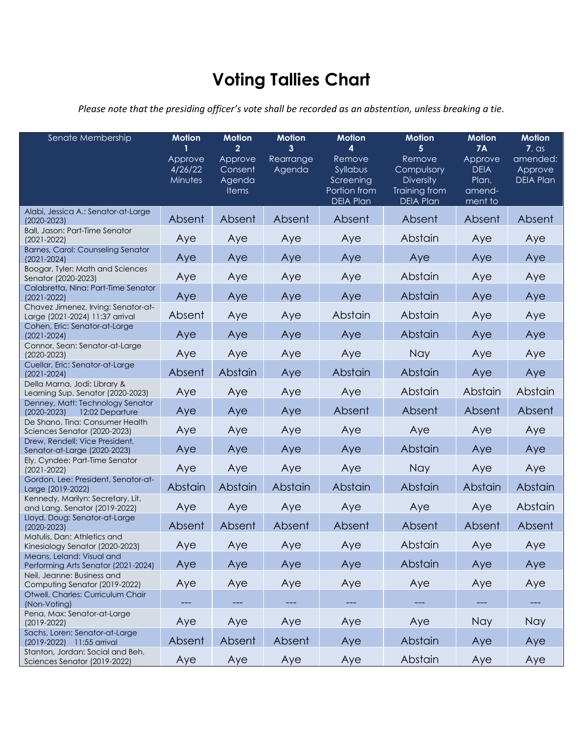# **Voting Tallies Chart**

*Please note that the presiding officer's vote shall be recorded as an abstention, unless breaking a tie.*

| Senate Membership                                                      | <b>Motion</b><br>Approve<br>4/26/22<br>Minutes | <b>Motion</b><br>$\mathbf{2}$<br>Approve<br>Consent<br>Agenda<br><b>Items</b> | <b>Motion</b><br>3<br>Rearrange<br>Agenda | <b>Motion</b><br>4<br>Remove<br>Syllabus<br>Screening<br>Portion from<br><b>DEIA Plan</b> | <b>Motion</b><br>5<br>Remove<br>Compulsory<br><b>Diversity</b><br>Training from<br><b>DEIA Plan</b> | <b>Motion</b><br><b>7A</b><br>Approve<br><b>DEIA</b><br>Plan,<br>amend-<br>ment to | <b>Motion</b><br>7, as<br>amended:<br>Approve<br><b>DEIA Plan</b> |
|------------------------------------------------------------------------|------------------------------------------------|-------------------------------------------------------------------------------|-------------------------------------------|-------------------------------------------------------------------------------------------|-----------------------------------------------------------------------------------------------------|------------------------------------------------------------------------------------|-------------------------------------------------------------------|
| Alabi, Jessica A.: Senator-at-Large<br>$(2020 - 2023)$                 | Absent                                         | Absent                                                                        | Absent                                    | Absent                                                                                    | Absent                                                                                              | Absent                                                                             | Absent                                                            |
| Ball, Jason: Part-Time Senator<br>$(2021 - 2022)$                      | Aye                                            | Aye                                                                           | Aye                                       | Aye                                                                                       | Abstain                                                                                             | Aye                                                                                | Aye                                                               |
| Barnes, Carol: Counseling Senator<br>$(2021 - 2024)$                   | Aye                                            | Aye                                                                           | Aye                                       | Aye                                                                                       | Aye                                                                                                 | Aye                                                                                | Aye                                                               |
| Boogar, Tyler: Math and Sciences<br>Senator (2020-2023)                | Aye                                            | Aye                                                                           | Aye                                       | Aye                                                                                       | Abstain                                                                                             | Aye                                                                                | Aye                                                               |
| Calabretta, Nina: Part-Time Senator<br>$(2021 - 2022)$                 | Aye                                            | Aye                                                                           | Aye                                       | Aye                                                                                       | Abstain                                                                                             | Aye                                                                                | Aye                                                               |
| Chavez Jimenez, Irving: Senator-at-<br>Large (2021-2024) 11:37 arrival | Absent                                         | Aye                                                                           | Aye                                       | Abstain                                                                                   | Abstain                                                                                             | Aye                                                                                | Aye                                                               |
| Cohen, Eric: Senator-at-Large<br>$(2021 - 2024)$                       | Aye                                            | Aye                                                                           | Aye                                       | Aye                                                                                       | Abstain                                                                                             | Aye                                                                                | Aye                                                               |
| Connor, Sean: Senator-at-Large<br>$(2020 - 2023)$                      | Aye                                            | Aye                                                                           | Aye                                       | Aye                                                                                       | Nay                                                                                                 | Aye                                                                                | Aye                                                               |
| Cuellar, Eric: Senator-at-Large<br>$(2021 - 2024)$                     | Absent                                         | Abstain                                                                       | Aye                                       | Abstain                                                                                   | Abstain                                                                                             | Aye                                                                                | Aye                                                               |
| Della Marna, Jodi: Library &<br>Learning Sup. Senator (2020-2023)      | Aye                                            | Aye                                                                           | Aye                                       | Aye                                                                                       | Abstain                                                                                             | Abstain                                                                            | Abstain                                                           |
| Denney, Matt: Technology Senator<br>12:02 Departure<br>$(2020 - 2023)$ | Aye                                            | Aye                                                                           | Aye                                       | Absent                                                                                    | Absent                                                                                              | Absent                                                                             | Absent                                                            |
| De Shano, Tina: Consumer Health<br>Sciences Senator (2020-2023)        | Aye                                            | Aye                                                                           | Aye                                       | Aye                                                                                       | Aye                                                                                                 | Aye                                                                                | Aye                                                               |
| Drew, Rendell: Vice President,<br>Senator-at-Large (2020-2023)         | Aye                                            | Aye                                                                           | Aye                                       | Aye                                                                                       | Abstain                                                                                             | Aye                                                                                | Aye                                                               |
| Ely, Cyndee: Part-Time Senator<br>$(2021 - 2022)$                      | Aye                                            | Aye                                                                           | Aye                                       | Aye                                                                                       | Nay                                                                                                 | Aye                                                                                | Aye                                                               |
| Gordon, Lee: President, Senator-at-<br>Large (2019-2022)               | Abstain                                        | Abstain                                                                       | Abstain                                   | Abstain                                                                                   | Abstain                                                                                             | Abstain                                                                            | Abstain                                                           |
| Kennedy, Marilyn: Secretary, Lit.<br>and Lang. Senator (2019-2022)     | Aye                                            | Aye                                                                           | Aye                                       | Aye                                                                                       | Aye                                                                                                 | Aye                                                                                | Abstain                                                           |
| Lloyd, Doug: Senator-at-Large<br>$(2020 - 2023)$                       | Absent                                         | Absent                                                                        | Absent                                    | Absent                                                                                    | Absent                                                                                              | Absent                                                                             | Absent                                                            |
| Matulis, Dan: Athletics and<br>Kinesiology Senator (2020-2023)         | Aye                                            | Aye                                                                           | Aye                                       | Aye                                                                                       | Abstain                                                                                             | Aye                                                                                | Aye                                                               |
| Means, Leland: Visual and<br>Performing Arts Senator (2021-2024)       | Aye                                            | Aye                                                                           | Aye                                       | Aye                                                                                       | Abstain                                                                                             | Aye                                                                                | Aye                                                               |
| Neil, Jeanne: Business and<br>Computing Senator (2019-2022)            | Aye                                            | Aye                                                                           | Aye                                       | Aye                                                                                       | Aye                                                                                                 | Aye                                                                                | Aye                                                               |
| Otwell, Charles: Curriculum Chair<br>(Non-Voting)                      |                                                |                                                                               |                                           |                                                                                           |                                                                                                     |                                                                                    |                                                                   |
| Pena, Max: Senator-at-Large<br>$(2019 - 2022)$                         | Aye                                            | Aye                                                                           | Aye                                       | Aye                                                                                       | Aye                                                                                                 | Nay                                                                                | <b>Nay</b>                                                        |
| Sachs, Loren: Senator-at-Large<br>(2019-2022) 11:55 arrival            | Absent                                         | Absent                                                                        | Absent                                    | Aye                                                                                       | Abstain                                                                                             | Aye                                                                                | Aye                                                               |
| Stanton, Jordan: Social and Beh.<br>Sciences Senator (2019-2022)       | Aye                                            | Aye                                                                           | Aye                                       | Aye                                                                                       | Abstain                                                                                             | Aye                                                                                | Aye                                                               |